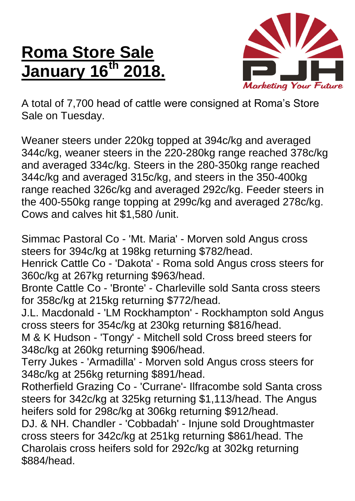## **Roma Store Sale January 16<sup>th</sup>**



A total of 7,700 head of cattle were consigned at Roma's Store Sale on Tuesday.

Weaner steers under 220kg topped at 394c/kg and averaged 344c/kg, weaner steers in the 220-280kg range reached 378c/kg and averaged 334c/kg. Steers in the 280-350kg range reached 344c/kg and averaged 315c/kg, and steers in the 350-400kg range reached 326c/kg and averaged 292c/kg. Feeder steers in the 400-550kg range topping at 299c/kg and averaged 278c/kg. Cows and calves hit \$1,580 /unit.

Simmac Pastoral Co - 'Mt. Maria' - Morven sold Angus cross steers for 394c/kg at 198kg returning \$782/head.

Henrick Cattle Co - 'Dakota' - Roma sold Angus cross steers for 360c/kg at 267kg returning \$963/head.

Bronte Cattle Co - 'Bronte' - Charleville sold Santa cross steers for 358c/kg at 215kg returning \$772/head.

J.L. Macdonald - 'LM Rockhampton' - Rockhampton sold Angus cross steers for 354c/kg at 230kg returning \$816/head.

M & K Hudson - 'Tongy' - Mitchell sold Cross breed steers for 348c/kg at 260kg returning \$906/head.

Terry Jukes - 'Armadilla' - Morven sold Angus cross steers for 348c/kg at 256kg returning \$891/head.

Rotherfield Grazing Co - 'Currane'- Ilfracombe sold Santa cross steers for 342c/kg at 325kg returning \$1,113/head. The Angus heifers sold for 298c/kg at 306kg returning \$912/head.

DJ. & NH. Chandler - 'Cobbadah' - Injune sold Droughtmaster cross steers for 342c/kg at 251kg returning \$861/head. The Charolais cross heifers sold for 292c/kg at 302kg returning \$884/head.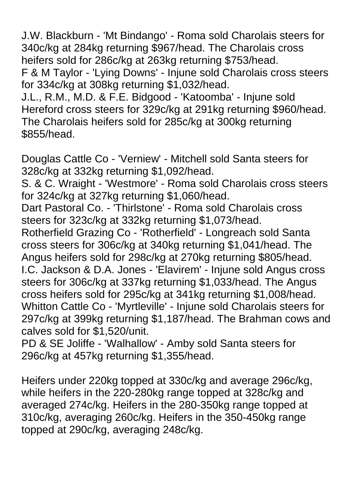J.W. Blackburn - 'Mt Bindango' - Roma sold Charolais steers for 340c/kg at 284kg returning \$967/head. The Charolais cross heifers sold for 286c/kg at 263kg returning \$753/head.

F & M Taylor - 'Lying Downs' - Injune sold Charolais cross steers for 334c/kg at 308kg returning \$1,032/head.

J.L., R.M., M.D. & F.E. Bidgood - 'Katoomba' - Injune sold Hereford cross steers for 329c/kg at 291kg returning \$960/head. The Charolais heifers sold for 285c/kg at 300kg returning \$855/head.

Douglas Cattle Co - 'Verniew' - Mitchell sold Santa steers for 328c/kg at 332kg returning \$1,092/head.

S. & C. Wraight - 'Westmore' - Roma sold Charolais cross steers for 324c/kg at 327kg returning \$1,060/head.

Dart Pastoral Co. - 'Thirlstone' - Roma sold Charolais cross steers for 323c/kg at 332kg returning \$1,073/head.

Rotherfield Grazing Co - 'Rotherfield' - Longreach sold Santa cross steers for 306c/kg at 340kg returning \$1,041/head. The Angus heifers sold for 298c/kg at 270kg returning \$805/head. I.C. Jackson & D.A. Jones - 'Elavirem' - Injune sold Angus cross steers for 306c/kg at 337kg returning \$1,033/head. The Angus cross heifers sold for 295c/kg at 341kg returning \$1,008/head. Whitton Cattle Co - 'Myrtleville' - Injune sold Charolais steers for 297c/kg at 399kg returning \$1,187/head. The Brahman cows and calves sold for \$1,520/unit.

PD & SE Joliffe - 'Walhallow' - Amby sold Santa steers for 296c/kg at 457kg returning \$1,355/head.

Heifers under 220kg topped at 330c/kg and average 296c/kg, while heifers in the 220-280kg range topped at 328c/kg and averaged 274c/kg. Heifers in the 280-350kg range topped at 310c/kg, averaging 260c/kg. Heifers in the 350-450kg range topped at 290c/kg, averaging 248c/kg.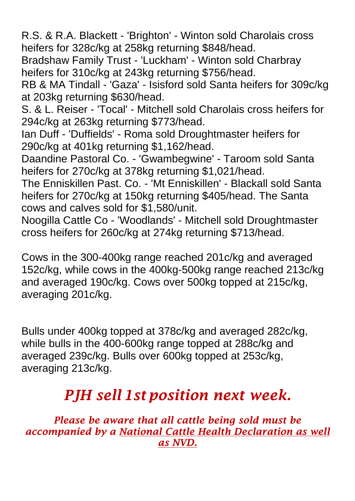R.S. & R.A. Blackett - 'Brighton' - Winton sold Charolais cross heifers for 328c/kg at 258kg returning \$848/head.

Bradshaw Family Trust - 'Luckham' - Winton sold Charbray heifers for 310c/kg at 243kg returning \$756/head.

RB & MA Tindall - 'Gaza' - Isisford sold Santa heifers for 309c/kg at 203kg returning \$630/head.

S. & L. Reiser - 'Tocal' - Mitchell sold Charolais cross heifers for 294c/kg at 263kg returning \$773/head.

Ian Duff - 'Duffields' - Roma sold Droughtmaster heifers for 290c/kg at 401kg returning \$1,162/head.

Daandine Pastoral Co. - 'Gwambegwine' - Taroom sold Santa heifers for 270c/kg at 378kg returning \$1,021/head.

The Enniskillen Past. Co. - 'Mt Enniskillen' - Blackall sold Santa heifers for 270c/kg at 150kg returning \$405/head. The Santa cows and calves sold for \$1,580/unit.

Noogilla Cattle Co - 'Woodlands' - Mitchell sold Droughtmaster cross heifers for 260c/kg at 274kg returning \$713/head.

Cows in the 300-400kg range reached 201c/kg and averaged 152c/kg, while cows in the 400kg-500kg range reached 213c/kg and averaged 190c/kg. Cows over 500kg topped at 215c/kg, averaging 201c/kg.

Bulls under 400kg topped at 378c/kg and averaged 282c/kg, while bulls in the 400-600kg range topped at 288c/kg and averaged 239c/kg. Bulls over 600kg topped at 253c/kg, averaging 213c/kg.

## *PJH sell 1st position next week.*

*Please be aware that all cattle being sold must be accompanied by a National Cattle Health Declaration as well as NVD.*